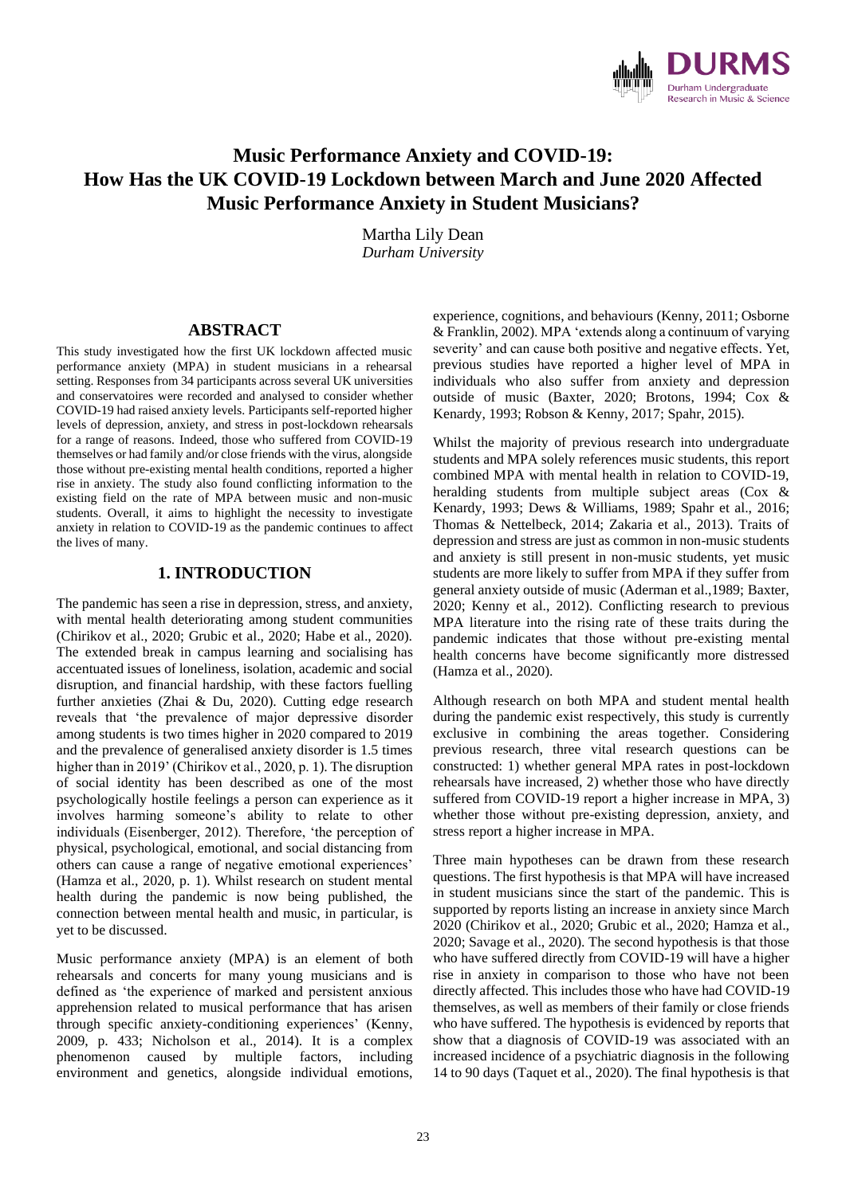

# **Music Performance Anxiety and COVID-19: How Has the UK COVID-19 Lockdown between March and June 2020 Affected Music Performance Anxiety in Student Musicians?**

Martha Lily Dean *Durham University*

### **ABSTRACT**

This study investigated how the first UK lockdown affected music performance anxiety (MPA) in student musicians in a rehearsal setting. Responses from 34 participants across several UK universities and conservatoires were recorded and analysed to consider whether COVID-19 had raised anxiety levels. Participants self-reported higher levels of depression, anxiety, and stress in post-lockdown rehearsals for a range of reasons. Indeed, those who suffered from COVID-19 themselves or had family and/or close friends with the virus, alongside those without pre-existing mental health conditions, reported a higher rise in anxiety. The study also found conflicting information to the existing field on the rate of MPA between music and non-music students. Overall, it aims to highlight the necessity to investigate anxiety in relation to COVID-19 as the pandemic continues to affect the lives of many.

# **1. INTRODUCTION**

The pandemic has seen a rise in depression, stress, and anxiety, with mental health deteriorating among student communities (Chirikov et al., 2020; Grubic et al., 2020; Habe et al., 2020). The extended break in campus learning and socialising has accentuated issues of loneliness, isolation, academic and social disruption, and financial hardship, with these factors fuelling further anxieties (Zhai & Du, 2020). Cutting edge research reveals that 'the prevalence of major depressive disorder among students is two times higher in 2020 compared to 2019 and the prevalence of generalised anxiety disorder is 1.5 times higher than in 2019' (Chirikov et al., 2020, p. 1). The disruption of social identity has been described as one of the most psychologically hostile feelings a person can experience as it involves harming someone's ability to relate to other individuals (Eisenberger, 2012). Therefore, 'the perception of physical, psychological, emotional, and social distancing from others can cause a range of negative emotional experiences' (Hamza et al., 2020, p. 1). Whilst research on student mental health during the pandemic is now being published, the connection between mental health and music, in particular, is yet to be discussed.

Music performance anxiety (MPA) is an element of both rehearsals and concerts for many young musicians and is defined as 'the experience of marked and persistent anxious apprehension related to musical performance that has arisen through specific anxiety-conditioning experiences' (Kenny, 2009, p. 433; Nicholson et al., 2014). It is a complex phenomenon caused by multiple factors, including environment and genetics, alongside individual emotions,

experience, cognitions, and behaviours (Kenny, 2011; Osborne & Franklin, 2002). MPA 'extends along a continuum of varying severity' and can cause both positive and negative effects. Yet, previous studies have reported a higher level of MPA in individuals who also suffer from anxiety and depression outside of music (Baxter, 2020; Brotons, 1994; Cox & Kenardy, 1993; Robson & Kenny, 2017; Spahr, 2015).

Whilst the majority of previous research into undergraduate students and MPA solely references music students, this report combined MPA with mental health in relation to COVID-19, heralding students from multiple subject areas (Cox & Kenardy, 1993; Dews & Williams, 1989; Spahr et al., 2016; Thomas & Nettelbeck, 2014; Zakaria et al., 2013). Traits of depression and stress are just as common in non-music students and anxiety is still present in non-music students, yet music students are more likely to suffer from MPA if they suffer from general anxiety outside of music (Aderman et al.,1989; Baxter, 2020; Kenny et al., 2012). Conflicting research to previous MPA literature into the rising rate of these traits during the pandemic indicates that those without pre-existing mental health concerns have become significantly more distressed (Hamza et al., 2020).

Although research on both MPA and student mental health during the pandemic exist respectively, this study is currently exclusive in combining the areas together. Considering previous research, three vital research questions can be constructed: 1) whether general MPA rates in post-lockdown rehearsals have increased, 2) whether those who have directly suffered from COVID-19 report a higher increase in MPA, 3) whether those without pre-existing depression, anxiety, and stress report a higher increase in MPA.

Three main hypotheses can be drawn from these research questions. The first hypothesis is that MPA will have increased in student musicians since the start of the pandemic. This is supported by reports listing an increase in anxiety since March 2020 (Chirikov et al., 2020; Grubic et al., 2020; Hamza et al., 2020; Savage et al., 2020). The second hypothesis is that those who have suffered directly from COVID-19 will have a higher rise in anxiety in comparison to those who have not been directly affected. This includes those who have had COVID-19 themselves, as well as members of their family or close friends who have suffered. The hypothesis is evidenced by reports that show that a diagnosis of COVID-19 was associated with an increased incidence of a psychiatric diagnosis in the following 14 to 90 days (Taquet et al., 2020). The final hypothesis is that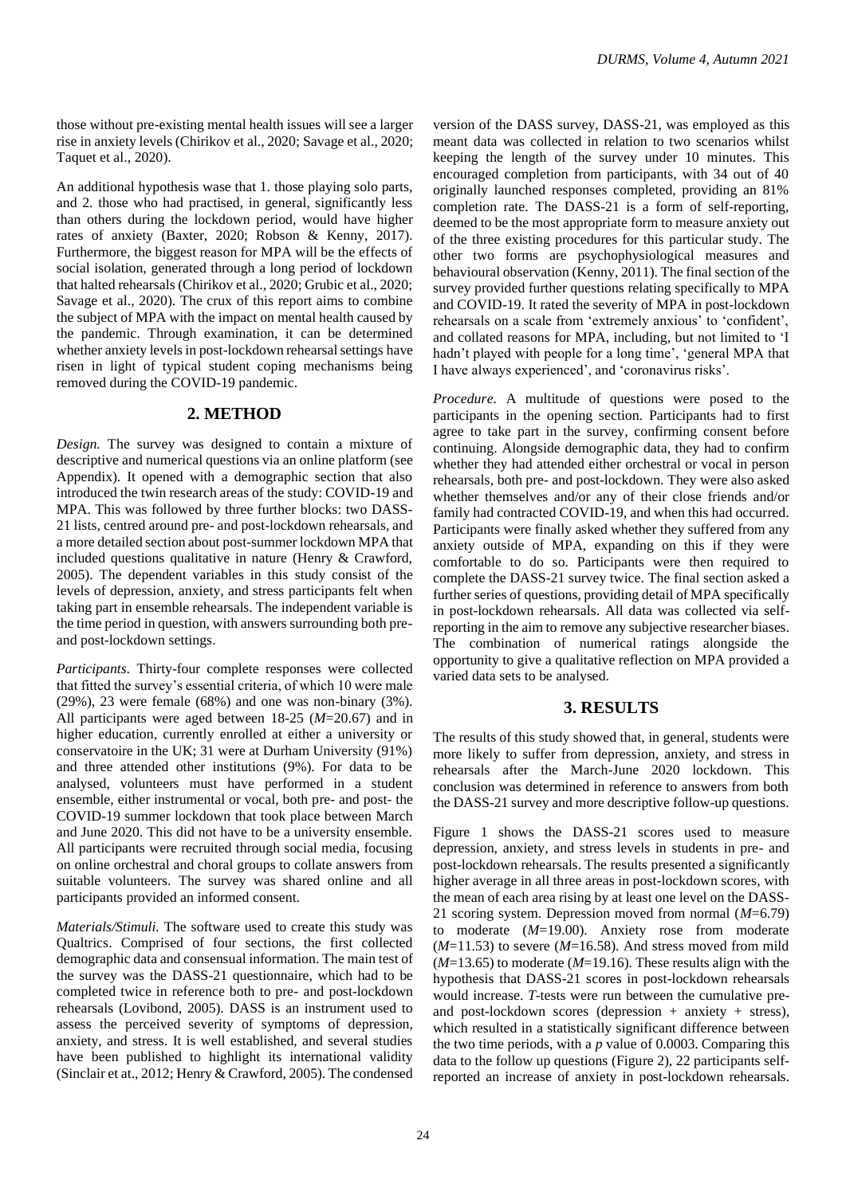those without pre-existing mental health issues will see a larger rise in anxiety levels (Chirikov et al., 2020; Savage et al., 2020; Taquet et al., 2020).

An additional hypothesis wase that 1. those playing solo parts, and 2. those who had practised, in general, significantly less than others during the lockdown period, would have higher rates of anxiety (Baxter, 2020; Robson & Kenny, 2017). Furthermore, the biggest reason for MPA will be the effects of social isolation, generated through a long period of lockdown that halted rehearsals (Chirikov et al., 2020; Grubic et al., 2020; Savage et al., 2020). The crux of this report aims to combine the subject of MPA with the impact on mental health caused by the pandemic. Through examination, it can be determined whether anxiety levels in post-lockdown rehearsal settings have risen in light of typical student coping mechanisms being removed during the COVID-19 pandemic.

# **2. METHOD**

*Design.* The survey was designed to contain a mixture of descriptive and numerical questions via an online platform (see Appendix). It opened with a demographic section that also introduced the twin research areas of the study: COVID-19 and MPA. This was followed by three further blocks: two DASS-21 lists, centred around pre- and post-lockdown rehearsals, and a more detailed section about post-summer lockdown MPA that included questions qualitative in nature (Henry & Crawford, 2005). The dependent variables in this study consist of the levels of depression, anxiety, and stress participants felt when taking part in ensemble rehearsals. The independent variable is the time period in question, with answers surrounding both preand post-lockdown settings.

*Participants.* Thirty-four complete responses were collected that fitted the survey's essential criteria, of which 10 were male (29%), 23 were female (68%) and one was non-binary (3%). All participants were aged between 18-25 (*M*=20.67) and in higher education, currently enrolled at either a university or conservatoire in the UK; 31 were at Durham University (91%) and three attended other institutions (9%). For data to be analysed, volunteers must have performed in a student ensemble, either instrumental or vocal, both pre- and post- the COVID-19 summer lockdown that took place between March and June 2020. This did not have to be a university ensemble. All participants were recruited through social media, focusing on online orchestral and choral groups to collate answers from suitable volunteers. The survey was shared online and all participants provided an informed consent.

*Materials/Stimuli.* The software used to create this study was Qualtrics. Comprised of four sections, the first collected demographic data and consensual information. The main test of the survey was the DASS-21 questionnaire, which had to be completed twice in reference both to pre- and post-lockdown rehearsals (Lovibond, 2005). DASS is an instrument used to assess the perceived severity of symptoms of depression, anxiety, and stress. It is well established, and several studies have been published to highlight its international validity (Sinclair et at., 2012; Henry & Crawford, 2005). The condensed

version of the DASS survey, DASS-21, was employed as this meant data was collected in relation to two scenarios whilst keeping the length of the survey under 10 minutes. This encouraged completion from participants, with 34 out of 40 originally launched responses completed, providing an 81% completion rate. The DASS-21 is a form of self-reporting, deemed to be the most appropriate form to measure anxiety out of the three existing procedures for this particular study. The other two forms are psychophysiological measures and behavioural observation (Kenny, 2011). The final section of the survey provided further questions relating specifically to MPA and COVID-19. It rated the severity of MPA in post-lockdown rehearsals on a scale from 'extremely anxious' to 'confident', and collated reasons for MPA, including, but not limited to 'I hadn't played with people for a long time', 'general MPA that I have always experienced', and 'coronavirus risks'.

*Procedure.* A multitude of questions were posed to the participants in the opening section. Participants had to first agree to take part in the survey, confirming consent before continuing. Alongside demographic data, they had to confirm whether they had attended either orchestral or vocal in person rehearsals, both pre- and post-lockdown. They were also asked whether themselves and/or any of their close friends and/or family had contracted COVID-19, and when this had occurred. Participants were finally asked whether they suffered from any anxiety outside of MPA, expanding on this if they were comfortable to do so. Participants were then required to complete the DASS-21 survey twice. The final section asked a further series of questions, providing detail of MPA specifically in post-lockdown rehearsals. All data was collected via selfreporting in the aim to remove any subjective researcher biases. The combination of numerical ratings alongside the opportunity to give a qualitative reflection on MPA provided a varied data sets to be analysed.

# **3. RESULTS**

The results of this study showed that, in general, students were more likely to suffer from depression, anxiety, and stress in rehearsals after the March-June 2020 lockdown. This conclusion was determined in reference to answers from both the DASS-21 survey and more descriptive follow-up questions.

Figure 1 shows the DASS-21 scores used to measure depression, anxiety, and stress levels in students in pre- and post-lockdown rehearsals. The results presented a significantly higher average in all three areas in post-lockdown scores, with the mean of each area rising by at least one level on the DASS-21 scoring system. Depression moved from normal (*M*=6.79) to moderate (*M*=19.00). Anxiety rose from moderate  $(M=11.53)$  to severe  $(M=16.58)$ . And stress moved from mild (*M*=13.65) to moderate (*M*=19.16). These results align with the hypothesis that DASS-21 scores in post-lockdown rehearsals would increase. *T*-tests were run between the cumulative preand post-lockdown scores (depression  $+$  anxiety  $+$  stress), which resulted in a statistically significant difference between the two time periods, with a *p* value of 0.0003. Comparing this data to the follow up questions (Figure 2), 22 participants selfreported an increase of anxiety in post-lockdown rehearsals.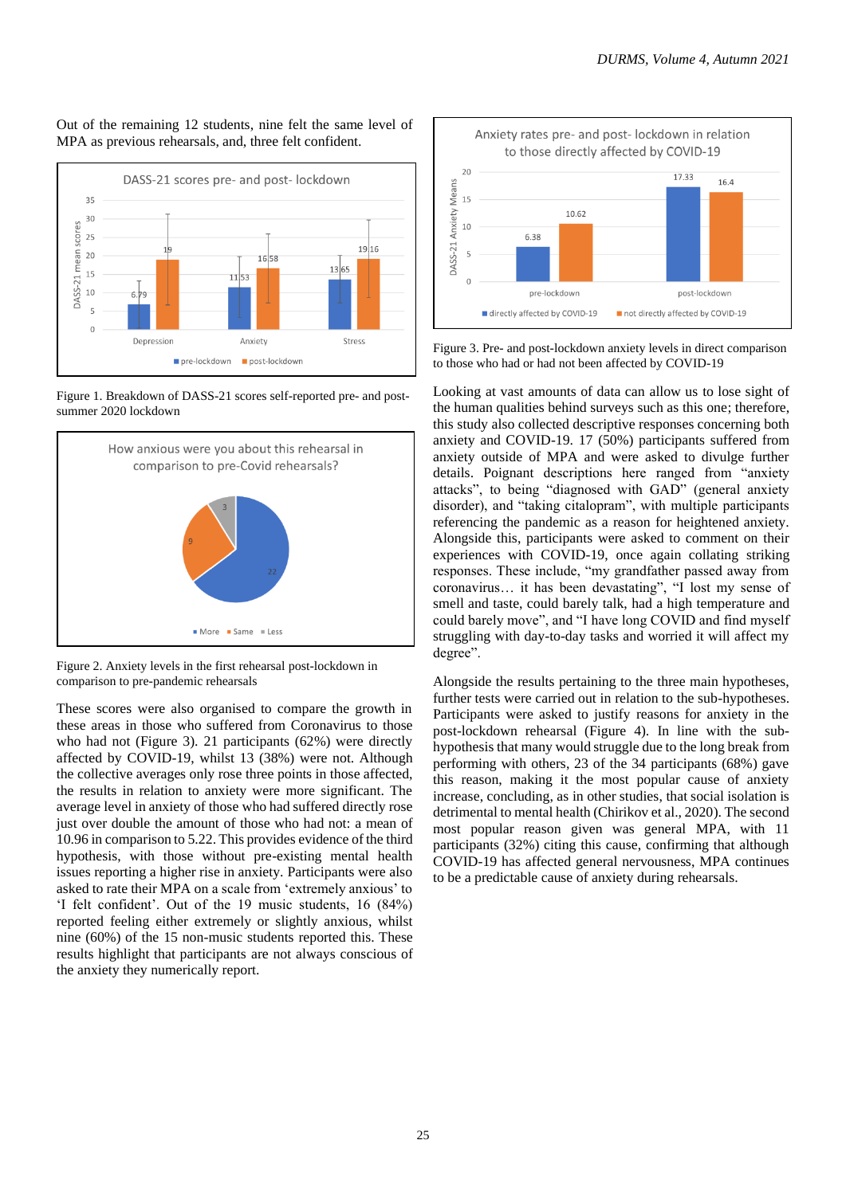### Out of the remaining 12 students, nine felt the same level of MPA as previous rehearsals, and, three felt confident.



Figure 1. Breakdown of DASS-21 scores self-reported pre- and postsummer 2020 lockdown



Figure 2. Anxiety levels in the first rehearsal post-lockdown in comparison to pre-pandemic rehearsals

These scores were also organised to compare the growth in these areas in those who suffered from Coronavirus to those who had not (Figure 3). 21 participants (62%) were directly affected by COVID-19, whilst 13 (38%) were not. Although the collective averages only rose three points in those affected, the results in relation to anxiety were more significant. The average level in anxiety of those who had suffered directly rose just over double the amount of those who had not: a mean of 10.96 in comparison to 5.22. This provides evidence of the third hypothesis, with those without pre-existing mental health issues reporting a higher rise in anxiety. Participants were also asked to rate their MPA on a scale from 'extremely anxious' to 'I felt confident'. Out of the 19 music students, 16 (84%) reported feeling either extremely or slightly anxious, whilst nine (60%) of the 15 non-music students reported this. These results highlight that participants are not always conscious of the anxiety they numerically report.



Figure 3. Pre- and post-lockdown anxiety levels in direct comparison to those who had or had not been affected by COVID-19

Looking at vast amounts of data can allow us to lose sight of the human qualities behind surveys such as this one; therefore, this study also collected descriptive responses concerning both anxiety and COVID-19. 17 (50%) participants suffered from anxiety outside of MPA and were asked to divulge further details. Poignant descriptions here ranged from "anxiety attacks", to being "diagnosed with GAD" (general anxiety disorder), and "taking citalopram", with multiple participants referencing the pandemic as a reason for heightened anxiety. Alongside this, participants were asked to comment on their experiences with COVID-19, once again collating striking responses. These include, "my grandfather passed away from coronavirus… it has been devastating", "I lost my sense of smell and taste, could barely talk, had a high temperature and could barely move", and "I have long COVID and find myself struggling with day-to-day tasks and worried it will affect my degree".

Alongside the results pertaining to the three main hypotheses, further tests were carried out in relation to the sub-hypotheses. Participants were asked to justify reasons for anxiety in the post-lockdown rehearsal (Figure 4). In line with the subhypothesis that many would struggle due to the long break from performing with others, 23 of the 34 participants (68%) gave this reason, making it the most popular cause of anxiety increase, concluding, as in other studies, that social isolation is detrimental to mental health (Chirikov et al., 2020). The second most popular reason given was general MPA, with 11 participants (32%) citing this cause, confirming that although COVID-19 has affected general nervousness, MPA continues to be a predictable cause of anxiety during rehearsals.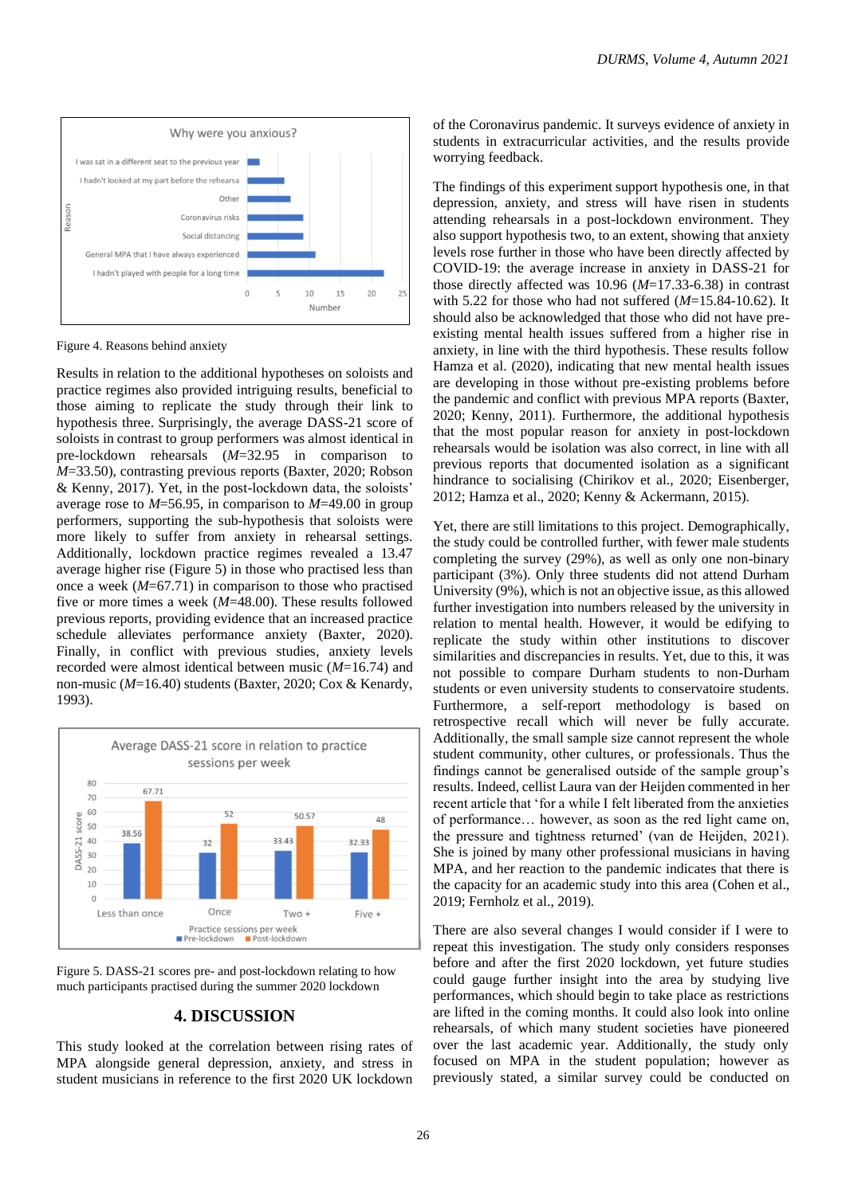

Figure 4. Reasons behind anxiety

Results in relation to the additional hypotheses on soloists and practice regimes also provided intriguing results, beneficial to those aiming to replicate the study through their link to hypothesis three. Surprisingly, the average DASS-21 score of soloists in contrast to group performers was almost identical in pre-lockdown rehearsals (*M*=32.95 in comparison to *M*=33.50), contrasting previous reports (Baxter, 2020; Robson & Kenny, 2017). Yet, in the post-lockdown data, the soloists' average rose to *M*=56.95, in comparison to *M*=49.00 in group performers, supporting the sub-hypothesis that soloists were more likely to suffer from anxiety in rehearsal settings. Additionally, lockdown practice regimes revealed a 13.47 average higher rise (Figure 5) in those who practised less than once a week (*M*=67.71) in comparison to those who practised five or more times a week (*M*=48.00). These results followed previous reports, providing evidence that an increased practice schedule alleviates performance anxiety (Baxter, 2020). Finally, in conflict with previous studies, anxiety levels recorded were almost identical between music (*M*=16.74) and non-music (*M*=16.40) students (Baxter, 2020; Cox & Kenardy, 1993).



Figure 5. DASS-21 scores pre- and post-lockdown relating to how much participants practised during the summer 2020 lockdown

# **4. DISCUSSION**

This study looked at the correlation between rising rates of MPA alongside general depression, anxiety, and stress in student musicians in reference to the first 2020 UK lockdown of the Coronavirus pandemic. It surveys evidence of anxiety in students in extracurricular activities, and the results provide worrying feedback.

The findings of this experiment support hypothesis one, in that depression, anxiety, and stress will have risen in students attending rehearsals in a post-lockdown environment. They also support hypothesis two, to an extent, showing that anxiety levels rose further in those who have been directly affected by COVID-19: the average increase in anxiety in DASS-21 for those directly affected was 10.96 (*M*=17.33-6.38) in contrast with 5.22 for those who had not suffered (*M*=15.84-10.62). It should also be acknowledged that those who did not have preexisting mental health issues suffered from a higher rise in anxiety, in line with the third hypothesis. These results follow Hamza et al. (2020), indicating that new mental health issues are developing in those without pre-existing problems before the pandemic and conflict with previous MPA reports (Baxter, 2020; Kenny, 2011). Furthermore, the additional hypothesis that the most popular reason for anxiety in post-lockdown rehearsals would be isolation was also correct, in line with all previous reports that documented isolation as a significant hindrance to socialising (Chirikov et al., 2020; Eisenberger, 2012; Hamza et al., 2020; Kenny & Ackermann, 2015).

Yet, there are still limitations to this project. Demographically, the study could be controlled further, with fewer male students completing the survey (29%), as well as only one non-binary participant (3%). Only three students did not attend Durham University (9%), which is not an objective issue, as this allowed further investigation into numbers released by the university in relation to mental health. However, it would be edifying to replicate the study within other institutions to discover similarities and discrepancies in results. Yet, due to this, it was not possible to compare Durham students to non-Durham students or even university students to conservatoire students. Furthermore, a self-report methodology is based on retrospective recall which will never be fully accurate. Additionally, the small sample size cannot represent the whole student community, other cultures, or professionals. Thus the findings cannot be generalised outside of the sample group's results. Indeed, cellist Laura van der Heijden commented in her recent article that 'for a while I felt liberated from the anxieties of performance… however, as soon as the red light came on, the pressure and tightness returned' (van de Heijden, 2021). She is joined by many other professional musicians in having MPA, and her reaction to the pandemic indicates that there is the capacity for an academic study into this area (Cohen et al., 2019; Fernholz et al., 2019).

There are also several changes I would consider if I were to repeat this investigation. The study only considers responses before and after the first 2020 lockdown, yet future studies could gauge further insight into the area by studying live performances, which should begin to take place as restrictions are lifted in the coming months. It could also look into online rehearsals, of which many student societies have pioneered over the last academic year. Additionally, the study only focused on MPA in the student population; however as previously stated, a similar survey could be conducted on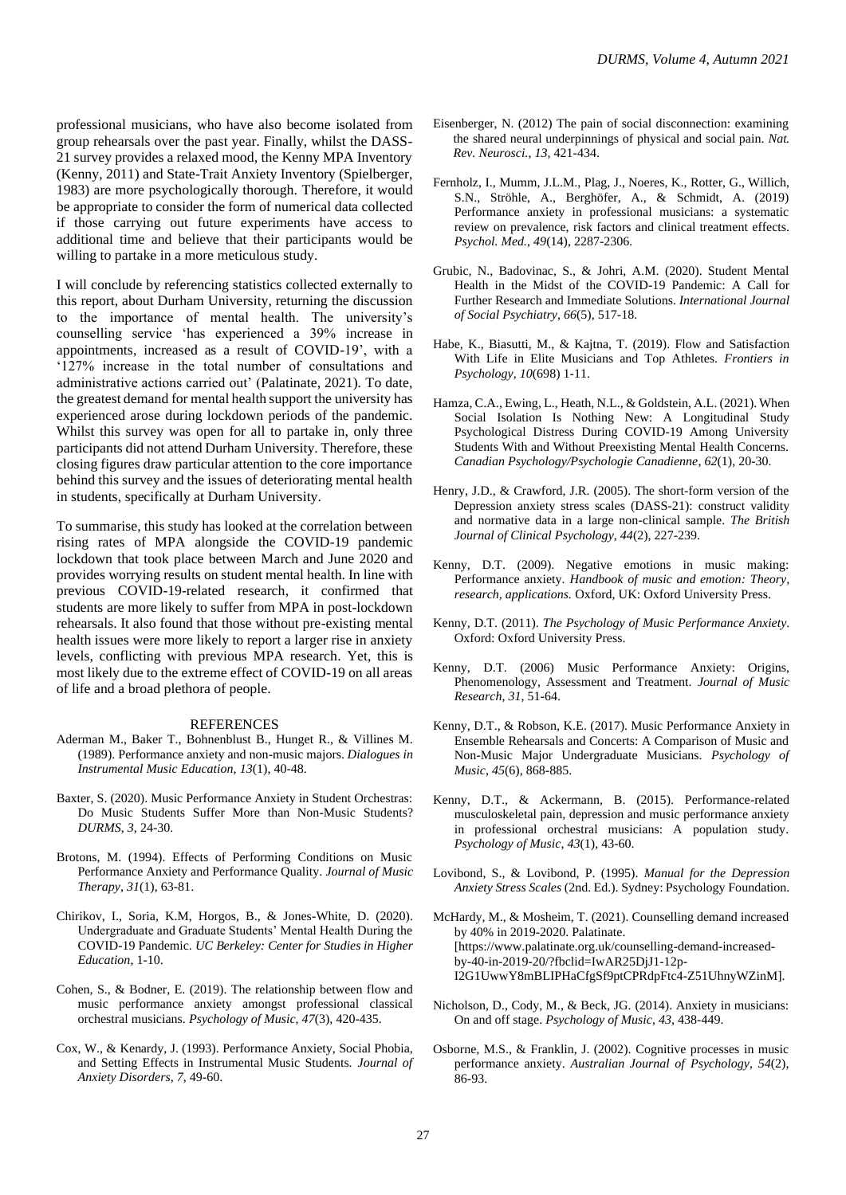professional musicians, who have also become isolated from group rehearsals over the past year. Finally, whilst the DASS-21 survey provides a relaxed mood, the Kenny MPA Inventory (Kenny, 2011) and State-Trait Anxiety Inventory (Spielberger, 1983) are more psychologically thorough. Therefore, it would be appropriate to consider the form of numerical data collected if those carrying out future experiments have access to additional time and believe that their participants would be willing to partake in a more meticulous study.

I will conclude by referencing statistics collected externally to this report, about Durham University, returning the discussion to the importance of mental health. The university's counselling service 'has experienced a 39% increase in appointments, increased as a result of COVID-19', with a '127% increase in the total number of consultations and administrative actions carried out' (Palatinate, 2021). To date, the greatest demand for mental health support the university has experienced arose during lockdown periods of the pandemic. Whilst this survey was open for all to partake in, only three participants did not attend Durham University. Therefore, these closing figures draw particular attention to the core importance behind this survey and the issues of deteriorating mental health in students, specifically at Durham University.

To summarise, this study has looked at the correlation between rising rates of MPA alongside the COVID-19 pandemic lockdown that took place between March and June 2020 and provides worrying results on student mental health. In line with previous COVID-19-related research, it confirmed that students are more likely to suffer from MPA in post-lockdown rehearsals. It also found that those without pre-existing mental health issues were more likely to report a larger rise in anxiety levels, conflicting with previous MPA research. Yet, this is most likely due to the extreme effect of COVID-19 on all areas of life and a broad plethora of people.

#### REFERENCES

- Aderman M., Baker T., Bohnenblust B., Hunget R., & Villines M. (1989). Performance anxiety and non-music majors. *Dialogues in Instrumental Music Education*, *13*(1), 40-48.
- Baxter, S. (2020). Music Performance Anxiety in Student Orchestras: Do Music Students Suffer More than Non-Music Students? *DURMS*, *3*, 24-30.
- Brotons, M. (1994). Effects of Performing Conditions on Music Performance Anxiety and Performance Quality. *Journal of Music Therapy*, *31*(1), 63-81.
- Chirikov, I., Soria, K.M, Horgos, B., & Jones-White, D. (2020). Undergraduate and Graduate Students' Mental Health During the COVID-19 Pandemic. *UC Berkeley: Center for Studies in Higher Education*, 1-10.
- Cohen, S., & Bodner, E. (2019). The relationship between flow and music performance anxiety amongst professional classical orchestral musicians. *Psychology of Music*, *47*(3), 420-435.
- Cox, W., & Kenardy, J. (1993). Performance Anxiety, Social Phobia, and Setting Effects in Instrumental Music Students. *Journal of Anxiety Disorders*, *7*, 49-60.
- Eisenberger, N. (2012) The pain of social disconnection: examining the shared neural underpinnings of physical and social pain. *Nat. Rev. Neurosci.*, *13*, 421-434.
- Fernholz, I., Mumm, J.L.M., Plag, J., Noeres, K., Rotter, G., Willich, S.N., Ströhle, A., Berghöfer, A., & Schmidt, A. (2019) Performance anxiety in professional musicians: a systematic review on prevalence, risk factors and clinical treatment effects. *Psychol. Med.*, *49*(14), 2287-2306.
- Grubic, N., Badovinac, S., & Johri, A.M. (2020). Student Mental Health in the Midst of the COVID-19 Pandemic: A Call for Further Research and Immediate Solutions. *International Journal of Social Psychiatry*, *66*(5), 517-18.
- Habe, K., Biasutti, M., & Kajtna, T. (2019). Flow and Satisfaction With Life in Elite Musicians and Top Athletes. *Frontiers in Psychology*, *10*(698) 1-11.
- Hamza, C.A., Ewing, L., Heath, N.L., & Goldstein, A.L. (2021). When Social Isolation Is Nothing New: A Longitudinal Study Psychological Distress During COVID-19 Among University Students With and Without Preexisting Mental Health Concerns. *Canadian Psychology/Psychologie Canadienne*, *62*(1), 20-30.
- Henry, J.D., & Crawford, J.R. (2005). The short-form version of the Depression anxiety stress scales (DASS-21): construct validity and normative data in a large non-clinical sample. *The British Journal of Clinical Psychology*, *44*(2), 227-239.
- Kenny, D.T. (2009). Negative emotions in music making: Performance anxiety. *Handbook of music and emotion: Theory, research, applications.* Oxford, UK: Oxford University Press.
- Kenny, D.T. (2011). *The Psychology of Music Performance Anxiety*. Oxford: Oxford University Press.
- Kenny, D.T. (2006) Music Performance Anxiety: Origins, Phenomenology, Assessment and Treatment. *Journal of Music Research*, *31*, 51-64.
- Kenny, D.T., & Robson, K.E. (2017). Music Performance Anxiety in Ensemble Rehearsals and Concerts: A Comparison of Music and Non-Music Major Undergraduate Musicians. *Psychology of Music*, *45*(6), 868-885.
- Kenny, D.T., & Ackermann, B. (2015). Performance-related musculoskeletal pain, depression and music performance anxiety in professional orchestral musicians: A population study. *Psychology of Music*, *43*(1), 43-60.
- Lovibond, S., & Lovibond, P. (1995). *Manual for the Depression Anxiety Stress Scales* (2nd. Ed.). Sydney: Psychology Foundation.
- McHardy, M., & Mosheim, T. (2021). Counselling demand increased by 40% in 2019-2020. Palatinate. [https://www.palatinate.org.uk/counselling-demand-increasedby-40-in-2019-20/?fbclid=IwAR25DjJ1-12p-I2G1UwwY8mBLIPHaCfgSf9ptCPRdpFtc4-Z51UhnyWZinM].
- Nicholson, D., Cody, M., & Beck, JG. (2014). Anxiety in musicians: On and off stage. *Psychology of Music*, *43*, 438-449.
- Osborne, M.S., & Franklin, J. (2002). Cognitive processes in music performance anxiety. *Australian Journal of Psychology*, *54*(2), 86-93.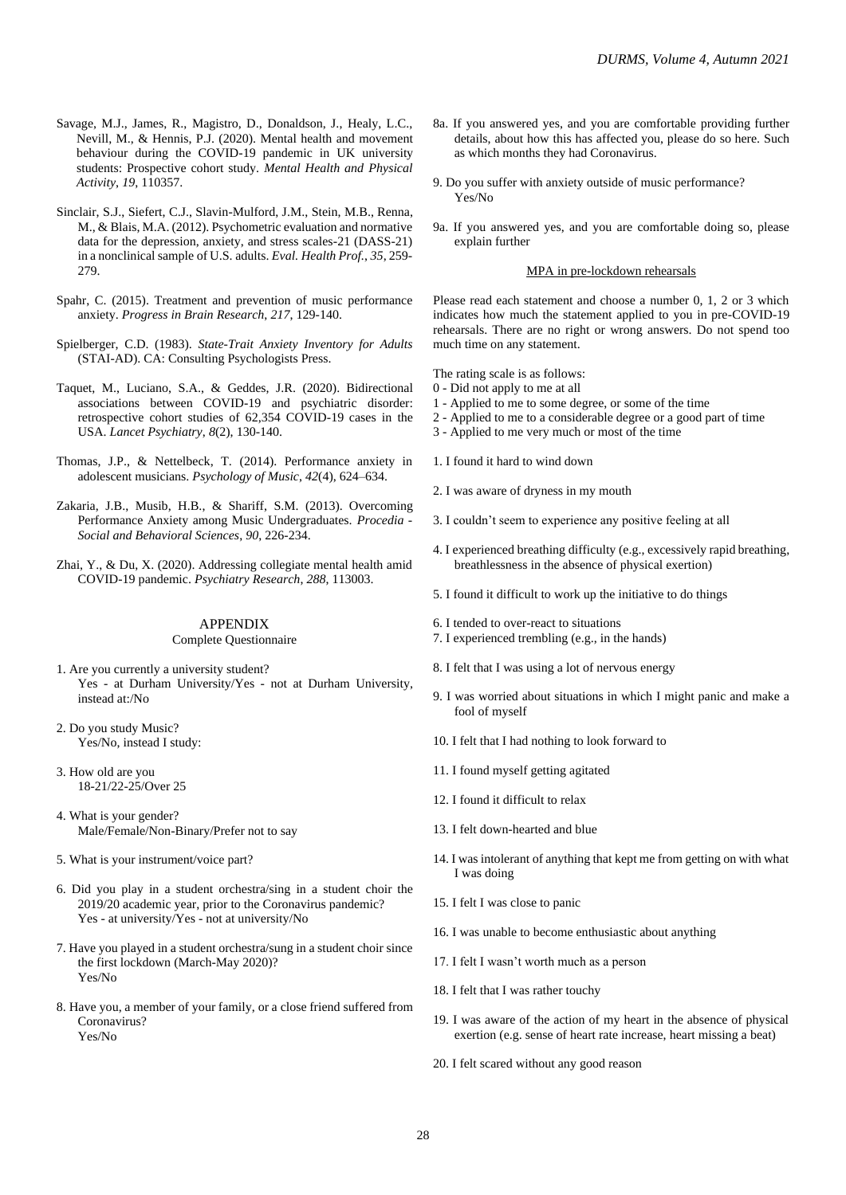- Savage, M.J., James, R., Magistro, D., Donaldson, J., Healy, L.C., Nevill, M., & Hennis, P.J. (2020). Mental health and movement behaviour during the COVID-19 pandemic in UK university students: Prospective cohort study. *Mental Health and Physical Activity*, *19*, 110357.
- Sinclair, S.J., Siefert, C.J., Slavin-Mulford, J.M., Stein, M.B., Renna, M., & Blais, M.A. (2012). Psychometric evaluation and normative data for the depression, anxiety, and stress scales-21 (DASS-21) in a nonclinical sample of U.S. adults. *Eval. Health Prof.*, *35*, 259- 279.
- Spahr, C. (2015). Treatment and prevention of music performance anxiety. *Progress in Brain Research*, *217*, 129-140.
- Spielberger, C.D. (1983). *State-Trait Anxiety Inventory for Adults* (STAI-AD). CA: Consulting Psychologists Press.
- Taquet, M., Luciano, S.A., & Geddes, J.R. (2020). Bidirectional associations between COVID-19 and psychiatric disorder: retrospective cohort studies of 62,354 COVID-19 cases in the USA. *Lancet Psychiatry*, *8*(2), 130-140.
- Thomas, J.P., & Nettelbeck, T. (2014). Performance anxiety in adolescent musicians. *Psychology of Music*, *42*(4), 624–634.
- Zakaria, J.B., Musib, H.B., & Shariff, S.M. (2013). Overcoming Performance Anxiety among Music Undergraduates. *Procedia - Social and Behavioral Sciences*, *90*, 226-234.
- Zhai, Y., & Du, X. (2020). Addressing collegiate mental health amid COVID-19 pandemic. *Psychiatry Research*, *288*, 113003.

#### APPENDIX

#### Complete Questionnaire

- 1. Are you currently a university student? Yes - at Durham University/Yes - not at Durham University, instead at:/No
- 2. Do you study Music? Yes/No, instead I study:
- 3. How old are you 18-21/22-25/Over 25
- 4. What is your gender? Male/Female/Non-Binary/Prefer not to say
- 5. What is your instrument/voice part?
- 6. Did you play in a student orchestra/sing in a student choir the 2019/20 academic year, prior to the Coronavirus pandemic? Yes - at university/Yes - not at university/No
- 7. Have you played in a student orchestra/sung in a student choir since the first lockdown (March-May 2020)? Yes/No
- 8. Have you, a member of your family, or a close friend suffered from Coronavirus? Yes/No
- 8a. If you answered yes, and you are comfortable providing further details, about how this has affected you, please do so here. Such as which months they had Coronavirus.
- 9. Do you suffer with anxiety outside of music performance? Yes/No
- 9a. If you answered yes, and you are comfortable doing so, please explain further

#### MPA in pre-lockdown rehearsals

Please read each statement and choose a number 0, 1, 2 or 3 which indicates how much the statement applied to you in pre-COVID-19 rehearsals. There are no right or wrong answers. Do not spend too much time on any statement.

The rating scale is as follows:

- 0 Did not apply to me at all
- 1 Applied to me to some degree, or some of the time
- 2 Applied to me to a considerable degree or a good part of time
- 3 Applied to me very much or most of the time
- 1. I found it hard to wind down
- 2. I was aware of dryness in my mouth
- 3. I couldn't seem to experience any positive feeling at all
- 4. I experienced breathing difficulty (e.g., excessively rapid breathing, breathlessness in the absence of physical exertion)
- 5. I found it difficult to work up the initiative to do things
- 6. I tended to over-react to situations
- 7. I experienced trembling (e.g., in the hands)
- 8. I felt that I was using a lot of nervous energy
- 9. I was worried about situations in which I might panic and make a fool of myself
- 10. I felt that I had nothing to look forward to
- 11. I found myself getting agitated
- 12. I found it difficult to relax
- 13. I felt down-hearted and blue
- 14. I was intolerant of anything that kept me from getting on with what I was doing
- 15. I felt I was close to panic
- 16. I was unable to become enthusiastic about anything
- 17. I felt I wasn't worth much as a person
- 18. I felt that I was rather touchy
- 19. I was aware of the action of my heart in the absence of physical exertion (e.g. sense of heart rate increase, heart missing a beat)
- 20. I felt scared without any good reason